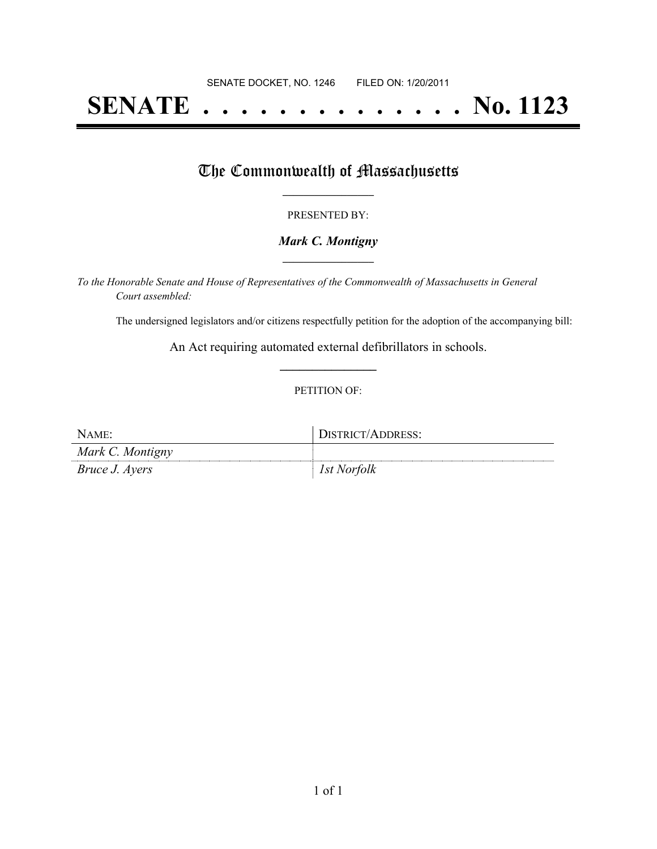# **SENATE . . . . . . . . . . . . . . No. 1123**

## The Commonwealth of Massachusetts

#### PRESENTED BY:

#### *Mark C. Montigny* **\_\_\_\_\_\_\_\_\_\_\_\_\_\_\_\_\_**

*To the Honorable Senate and House of Representatives of the Commonwealth of Massachusetts in General Court assembled:*

The undersigned legislators and/or citizens respectfully petition for the adoption of the accompanying bill:

An Act requiring automated external defibrillators in schools. **\_\_\_\_\_\_\_\_\_\_\_\_\_\_\_**

#### PETITION OF:

| NAME:                 | DISTRICT/ADDRESS: |
|-----------------------|-------------------|
| Mark C. Montigny      |                   |
| <i>Bruce J. Ayers</i> | 1st Norfolk       |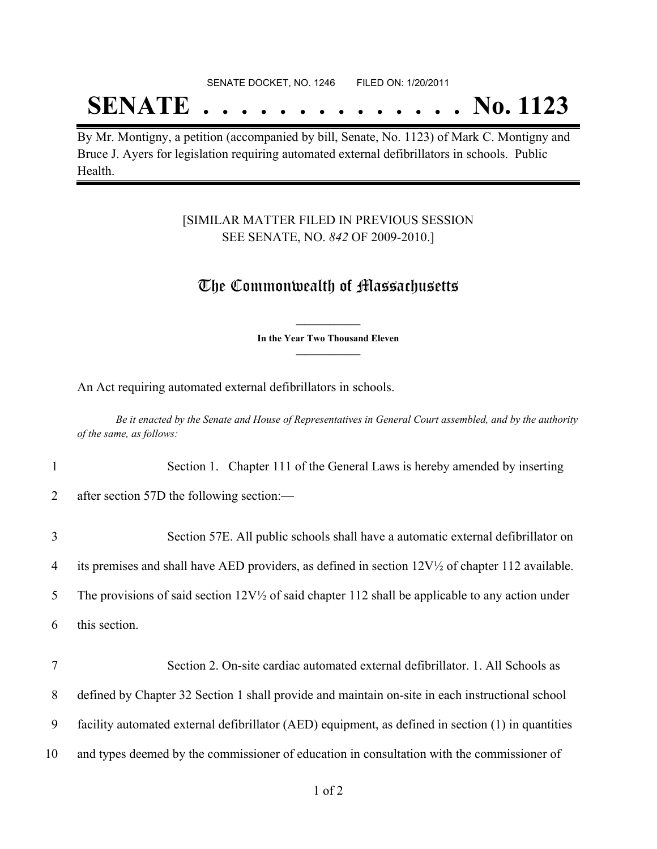## **SENATE . . . . . . . . . . . . . . No. 1123**

By Mr. Montigny, a petition (accompanied by bill, Senate, No. 1123) of Mark C. Montigny and Bruce J. Ayers for legislation requiring automated external defibrillators in schools. Public Health.

### [SIMILAR MATTER FILED IN PREVIOUS SESSION SEE SENATE, NO. *842* OF 2009-2010.]

### The Commonwealth of Massachusetts

**\_\_\_\_\_\_\_\_\_\_\_\_\_\_\_ In the Year Two Thousand Eleven \_\_\_\_\_\_\_\_\_\_\_\_\_\_\_**

An Act requiring automated external defibrillators in schools.

Be it enacted by the Senate and House of Representatives in General Court assembled, and by the authority *of the same, as follows:*

| $\mathbf{1}$ | Section 1. Chapter 111 of the General Laws is hereby amended by inserting                                   |
|--------------|-------------------------------------------------------------------------------------------------------------|
| 2            | after section 57D the following section:—                                                                   |
| 3            | Section 57E. All public schools shall have a automatic external defibrillator on                            |
| 4            | its premises and shall have AED providers, as defined in section $12V\frac{1}{2}$ of chapter 112 available. |
| 5            | The provisions of said section $12V\frac{1}{2}$ of said chapter 112 shall be applicable to any action under |
| 6            | this section.                                                                                               |
| 7            | Section 2. On-site cardiac automated external defibrillator. 1. All Schools as                              |
|              |                                                                                                             |
| 8            | defined by Chapter 32 Section 1 shall provide and maintain on-site in each instructional school             |
| 9            | facility automated external defibrillator (AED) equipment, as defined in section (1) in quantities          |

10 and types deemed by the commissioner of education in consultation with the commissioner of